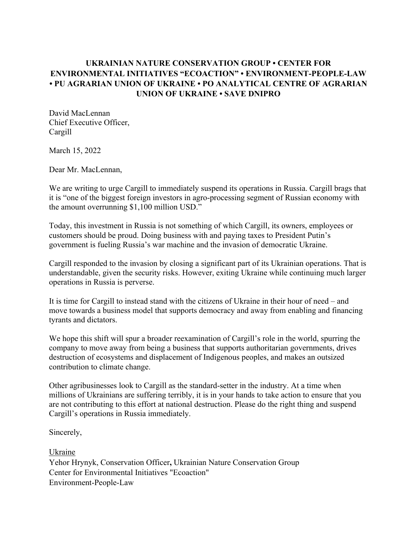## **UKRAINIAN NATURE CONSERVATION GROUP • CENTER FOR ENVIRONMENTAL INITIATIVES "ECOACTION" • ENVIRONMENT-PEOPLE-LAW • PU AGRARIAN UNION OF UKRAINE • PO ANALYTICAL CENTRE OF AGRARIAN UNION OF UKRAINE • SAVE DNIPRO**

David MacLennan Chief Executive Officer, Cargill

March 15, 2022

Dear Mr. MacLennan,

We are writing to urge Cargill to immediately suspend its operations in Russia. Cargill brags that it is "one of the biggest foreign investors in agro-processing segment of Russian economy with the amount overrunning \$1,100 million USD."

Today, this investment in Russia is not something of which Cargill, its owners, employees or customers should be proud. Doing business with and paying taxes to President Putin's government is fueling Russia's war machine and the invasion of democratic Ukraine.

Cargill responded to the invasion by closing a significant part of its Ukrainian operations. That is understandable, given the security risks. However, exiting Ukraine while continuing much larger operations in Russia is perverse.

It is time for Cargill to instead stand with the citizens of Ukraine in their hour of need – and move towards a business model that supports democracy and away from enabling and financing tyrants and dictators.

We hope this shift will spur a broader reexamination of Cargill's role in the world, spurring the company to move away from being a business that supports authoritarian governments, drives destruction of ecosystems and displacement of Indigenous peoples, and makes an outsized contribution to climate change.

Other agribusinesses look to Cargill as the standard-setter in the industry. At a time when millions of Ukrainians are suffering terribly, it is in your hands to take action to ensure that you are not contributing to this effort at national destruction. Please do the right thing and suspend Cargill's operations in Russia immediately.

Sincerely,

Ukraine Yehor Hrynyk, Conservation Officer**,** Ukrainian Nature Conservation Group Center for Environmental Initiatives "Ecoaction" Environment-People-Law